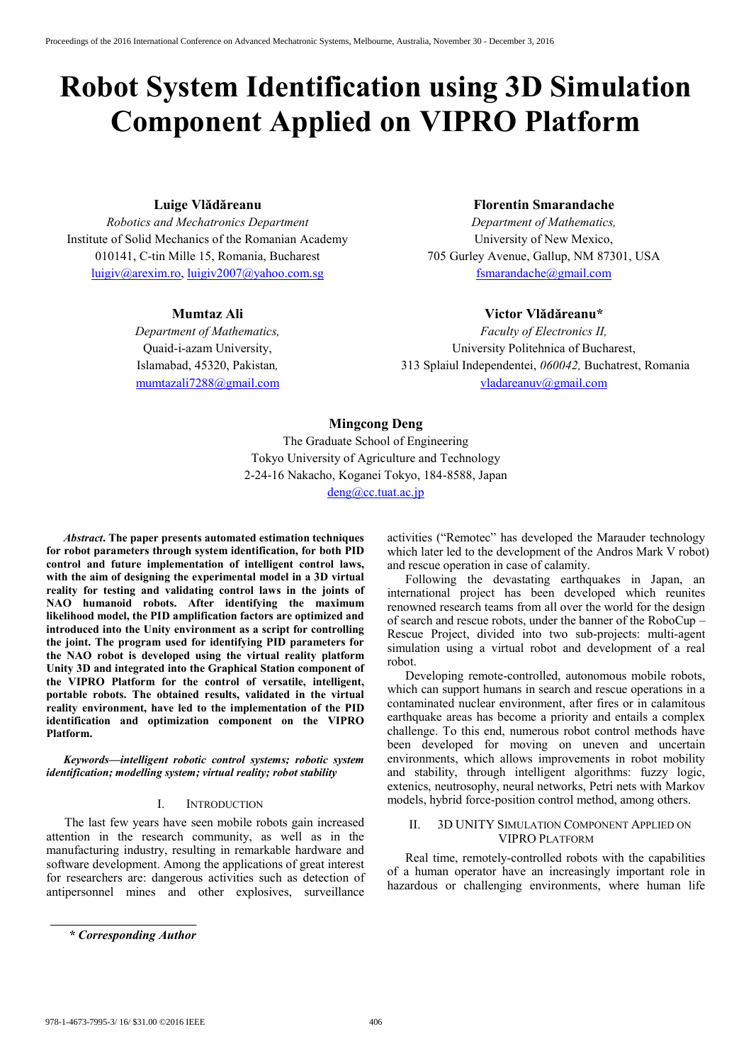# **Robot System Identification using 3D Simulation Component Applied on VIPRO Platform**

## **Luige Vlădăreanu**

*Robotics and Mechatronics Department* Institute of Solid Mechanics of the Romanian Academy 010141, C-tin Mille 15, Romania, Bucharest luigiv@arexim.ro, luigiv2007@yahoo.com.sg

## **Mumtaz Ali**

*Department of Mathematics,*  Quaid-i-azam University, Islamabad, 45320, Pakistan*,*  mumtazali7288@gmail.com

## **Florentin Smarandache**

*Department of Mathematics,*  University of New Mexico, 705 Gurley Avenue, Gallup, NM 87301, USA fsmarandache@gmail.com

### **Victor Vlădăreanu\***

*Faculty of Electronics II,*  University Politehnica of Bucharest, 313 Splaiul Independentei, *060042,* Buchatrest, Romania vladareanuv@gmail.com

## **Mingcong Deng**

The Graduate School of Engineering Tokyo University of Agriculture and Technology 2-24-16 Nakacho, Koganei Tokyo, 184-8588, Japan deng@cc.tuat.ac.jp

*Abstract***. The paper presents automated estimation techniques for robot parameters through system identification, for both PID control and future implementation of intelligent control laws, with the aim of designing the experimental model in a 3D virtual reality for testing and validating control laws in the joints of NAO humanoid robots. After identifying the maximum likelihood model, the PID amplification factors are optimized and introduced into the Unity environment as a script for controlling the joint. The program used for identifying PID parameters for the NAO robot is developed using the virtual reality platform Unity 3D and integrated into the Graphical Station component of the VIPRO Platform for the control of versatile, intelligent, portable robots. The obtained results, validated in the virtual reality environment, have led to the implementation of the PID identification and optimization component on the VIPRO Platform.** 

*Keywords—intelligent robotic control systems; robotic system identification; modelling system; virtual reality; robot stability* 

#### I. INTRODUCTION

The last few years have seen mobile robots gain increased attention in the research community, as well as in the manufacturing industry, resulting in remarkable hardware and software development. Among the applications of great interest for researchers are: dangerous activities such as detection of antipersonnel mines and other explosives, surveillance

activities ("Remotec" has developed the Marauder technology which later led to the development of the Andros Mark V robot) and rescue operation in case of calamity.

Following the devastating earthquakes in Japan, an international project has been developed which reunites renowned research teams from all over the world for the design of search and rescue robots, under the banner of the RoboCup – Rescue Project, divided into two sub-projects: multi-agent simulation using a virtual robot and development of a real robot.

Developing remote-controlled, autonomous mobile robots, which can support humans in search and rescue operations in a contaminated nuclear environment, after fires or in calamitous earthquake areas has become a priority and entails a complex challenge. To this end, numerous robot control methods have been developed for moving on uneven and uncertain environments, which allows improvements in robot mobility and stability, through intelligent algorithms: fuzzy logic, extenics, neutrosophy, neural networks, Petri nets with Markov models, hybrid force-position control method, among others.

## II. 3D UNITY SIMULATION COMPONENT APPLIED ON VIPRO PLATFORM

Real time, remotely-controlled robots with the capabilities of a human operator have an increasingly important role in hazardous or challenging environments, where human life

*<sup>\*</sup> Corresponding Author*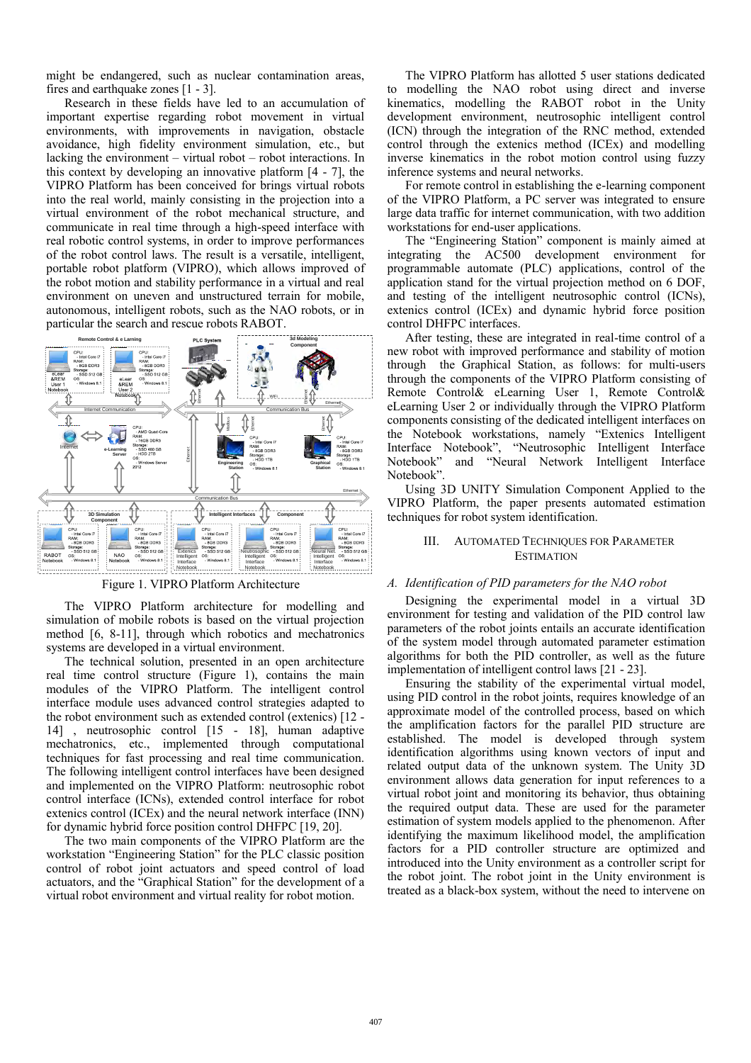might be endangered, such as nuclear contamination areas, fires and earthquake zones [1 - 3].

Research in these fields have led to an accumulation of important expertise regarding robot movement in virtual environments, with improvements in navigation, obstacle avoidance, high fidelity environment simulation, etc., but lacking the environment – virtual robot – robot interactions. In this context by developing an innovative platform [4 - 7], the VIPRO Platform has been conceived for brings virtual robots into the real world, mainly consisting in the projection into a virtual environment of the robot mechanical structure, and communicate in real time through a high-speed interface with real robotic control systems, in order to improve performances of the robot control laws. The result is a versatile, intelligent, portable robot platform (VIPRO), which allows improved of the robot motion and stability performance in a virtual and real environment on uneven and unstructured terrain for mobile, autonomous, intelligent robots, such as the NAO robots, or in particular the search and rescue robots RABOT.



Figure 1. VIPRO Platform Architecture

The VIPRO Platform architecture for modelling and simulation of mobile robots is based on the virtual projection method [6, 8-11], through which robotics and mechatronics systems are developed in a virtual environment.

The technical solution, presented in an open architecture real time control structure (Figure 1), contains the main modules of the VIPRO Platform. The intelligent control interface module uses advanced control strategies adapted to the robot environment such as extended control (extenics) [12 - 14] , neutrosophic control [15 - 18], human adaptive mechatronics, etc., implemented through computational techniques for fast processing and real time communication. The following intelligent control interfaces have been designed and implemented on the VIPRO Platform: neutrosophic robot control interface (ICNs), extended control interface for robot extenics control (ICEx) and the neural network interface (INN) for dynamic hybrid force position control DHFPC [19, 20].

The two main components of the VIPRO Platform are the workstation "Engineering Station" for the PLC classic position control of robot joint actuators and speed control of load actuators, and the "Graphical Station" for the development of a virtual robot environment and virtual reality for robot motion.

The VIPRO Platform has allotted 5 user stations dedicated to modelling the NAO robot using direct and inverse kinematics, modelling the RABOT robot in the Unity development environment, neutrosophic intelligent control (ICN) through the integration of the RNC method, extended control through the extenics method (ICEx) and modelling inverse kinematics in the robot motion control using fuzzy inference systems and neural networks.

For remote control in establishing the e-learning component of the VIPRO Platform, a PC server was integrated to ensure large data traffic for internet communication, with two addition workstations for end-user applications.

 The "Engineering Station" component is mainly aimed at integrating the AC500 development environment for programmable automate (PLC) applications, control of the application stand for the virtual projection method on 6 DOF, and testing of the intelligent neutrosophic control (ICNs), extenics control (ICEx) and dynamic hybrid force position control DHFPC interfaces.

After testing, these are integrated in real-time control of a new robot with improved performance and stability of motion through the Graphical Station, as follows: for multi-users through the components of the VIPRO Platform consisting of Remote Control& eLearning User 1, Remote Control& eLearning User 2 or individually through the VIPRO Platform components consisting of the dedicated intelligent interfaces on the Notebook workstations, namely "Extenics Intelligent Interface Notebook", "Neutrosophic Intelligent Interface Notebook" and "Neural Network Intelligent Interface Notebook".

Using 3D UNITY Simulation Component Applied to the VIPRO Platform, the paper presents automated estimation techniques for robot system identification.

## III. AUTOMATED TECHNIQUES FOR PARAMETER ESTIMATION

#### *A. Identification of PID parameters for the NAO robot*

Designing the experimental model in a virtual 3D environment for testing and validation of the PID control law parameters of the robot joints entails an accurate identification of the system model through automated parameter estimation algorithms for both the PID controller, as well as the future implementation of intelligent control laws [21 - 23].

Ensuring the stability of the experimental virtual model, using PID control in the robot joints, requires knowledge of an approximate model of the controlled process, based on which the amplification factors for the parallel PID structure are established. The model is developed through system identification algorithms using known vectors of input and related output data of the unknown system. The Unity 3D environment allows data generation for input references to a virtual robot joint and monitoring its behavior, thus obtaining the required output data. These are used for the parameter estimation of system models applied to the phenomenon. After identifying the maximum likelihood model, the amplification factors for a PID controller structure are optimized and introduced into the Unity environment as a controller script for the robot joint. The robot joint in the Unity environment is treated as a black-box system, without the need to intervene on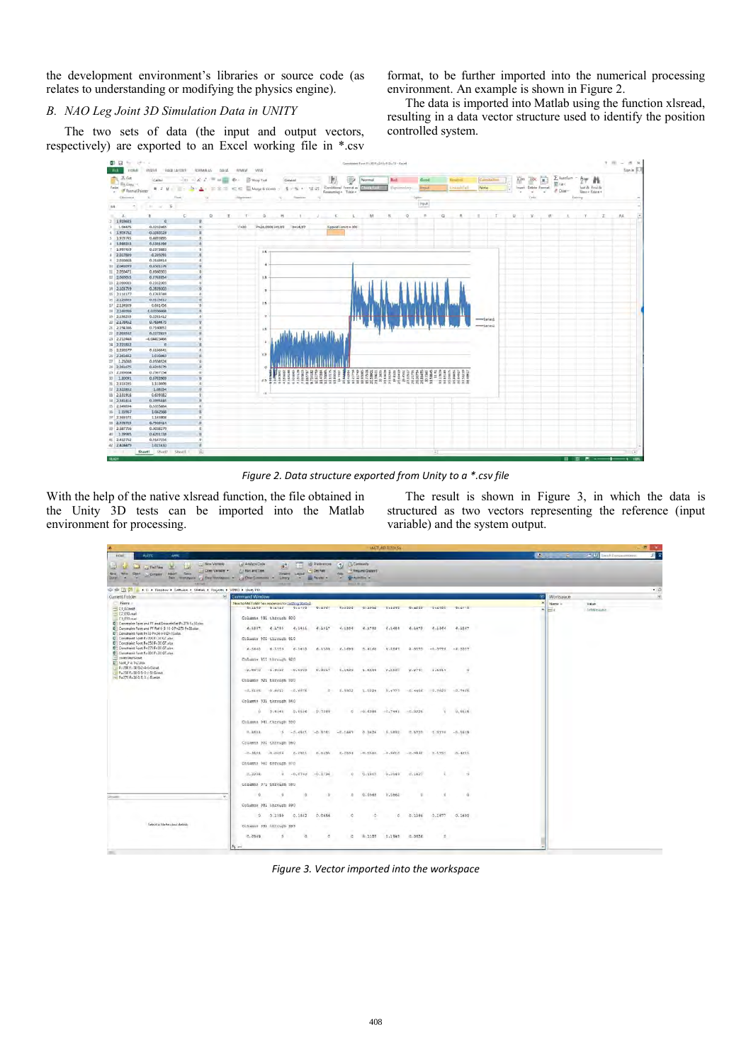the development environment's libraries or source code (as relates to understanding or modifying the physics engine).

*B. NAO Leg Joint 3D Simulation Data in UNITY* 

The two sets of data (the input and output vectors, respectively) are exported to an Excel working file in \*.csv

format, to be further imported into the numerical processing environment. An example is shown in Figure 2.

The data is imported into Matlab using the function xlsread, resulting in a data vector structure used to identify the position controlled system.



*Figure 2. Data structure exported from Unity to a \*.csv file* 

With the help of the native xlsread function, the file obtained in the Unity 3D tests can be imported into the Matlab environment for processing.

The result is shown in Figure 3, in which the data is structured as two vectors representing the reference (input variable) and the system output.

|                                                                                                                                                                                                                                                                                                                                                                                                                                                                                                                                                                                 | <b>MATLAB RZD15a</b>                                                                                                                                                      | <b>DI</b>                                                                |
|---------------------------------------------------------------------------------------------------------------------------------------------------------------------------------------------------------------------------------------------------------------------------------------------------------------------------------------------------------------------------------------------------------------------------------------------------------------------------------------------------------------------------------------------------------------------------------|---------------------------------------------------------------------------------------------------------------------------------------------------------------------------|--------------------------------------------------------------------------|
| <b>FIOIET</b><br>AOTE<br>يسب<br><b>Lui Gen Variable</b><br>Cal Find Films<br>×<br>COME VAILER<br><b>Sales</b><br>Mria 1<br><b>Charl</b><br>lemant.<br>Company                                                                                                                                                                                                                                                                                                                                                                                                                   | <b>IQI Preferences</b><br><b>PS Comments</b><br>Lail Amalyze Crow<br>7.1<br>85<br><b>E.I. Ries and Time.</b><br>* Det Path<br>-CRequest Disport<br><b>Search</b><br>Lexus | 되 고<br>$7 - 41$<br><b>Intel: Engineermining</b><br><b>William</b><br>- 2 |
| ٠<br><b>Great</b>                                                                                                                                                                                                                                                                                                                                                                                                                                                                                                                                                               | <b>Big Paradet +</b><br><b>GLASSING'S</b><br>Date company to Deal transport = 1 (2) Disc Common = Liney<br>$\sim$                                                         |                                                                          |
| UP NO (2) 23 = F.U. F Dresben: P Selfrage P Selfake P Dresects P 19931 P Unity FEL.                                                                                                                                                                                                                                                                                                                                                                                                                                                                                             | <b>Brown of Minister</b>                                                                                                                                                  | $-0$                                                                     |
| Current Folder                                                                                                                                                                                                                                                                                                                                                                                                                                                                                                                                                                  | fel<br><b>Command Window</b>                                                                                                                                              | Workspace<br>压                                                           |
| Name =                                                                                                                                                                                                                                                                                                                                                                                                                                                                                                                                                                          | New to MATLARY Sea resources for Lighting Stated.                                                                                                                         | Name is<br>Value.                                                        |
| - Et Glasse<br>$= 62,050$ mat<br>C1 (IVIma)<br>Contraint Foot and FF and Smoothfiel Pu 275 Fa 30xim<br>B Constraint Foot and FF Rel 0 5-10 0 P+273 F+30 also<br>D <sup>1</sup> Constraint Foot Ex30 Pix24 to 9 Div IS also.<br>Constraint Foot Pr 200 F LD GT also<br><b>Q</b> Constraint Foot P=250 F=30 GT slss<br><b>D</b> <sup>1</sup> Constraint Foot P+270 Fn30 GTalus<br><b>Q</b> Conditant Foot Po 300 Fu 30 OT situ.<br>controllerunat<br><b>B</b> Foot P is TV2.00x<br>9:200 Full0 5-2-4-6-0 mat.<br>Pa 250 Fu 80 G-5-D-1-51-Dayset<br>$-0.275$ Fa 30 G-3 0 c-5) milt | BLEED SIETLY SIETING SIETVY SIEDEN<br><b>BYZBUZ</b><br>312210<br><b>BIACEY</b><br>0.0188<br><b>BLETTS</b>                                                                 | $\equiv$ x<br>Johnreight                                                 |
|                                                                                                                                                                                                                                                                                                                                                                                                                                                                                                                                                                                 | Columns 891 through 900                                                                                                                                                   |                                                                          |
|                                                                                                                                                                                                                                                                                                                                                                                                                                                                                                                                                                                 | 6.1336<br>4.1752<br>4.1654<br>8.1473.<br>0.1366<br>4.1147<br>4.1857 4.1755<br>4.1441<br>4.1917                                                                            |                                                                          |
|                                                                                                                                                                                                                                                                                                                                                                                                                                                                                                                                                                                 | Columns 901 through 910                                                                                                                                                   |                                                                          |
|                                                                                                                                                                                                                                                                                                                                                                                                                                                                                                                                                                                 | 6.1640 6.1553 6.14t0<br>6.1556<br>6.1699<br>5.4168<br>4.2842<br>$2 - 0.575$<br>$-0.3779$<br>$-2/3317$                                                                     |                                                                          |
|                                                                                                                                                                                                                                                                                                                                                                                                                                                                                                                                                                                 |                                                                                                                                                                           |                                                                          |
|                                                                                                                                                                                                                                                                                                                                                                                                                                                                                                                                                                                 | Columns 911 through 920                                                                                                                                                   |                                                                          |
|                                                                                                                                                                                                                                                                                                                                                                                                                                                                                                                                                                                 | $-2.1372 -1.9632 -0.6912$<br>$\overline{u}$<br>0.9257<br>5.1633<br>1.5629<br>2.2527<br>1,6519<br>7.7747                                                                   |                                                                          |
|                                                                                                                                                                                                                                                                                                                                                                                                                                                                                                                                                                                 | Columns 921 through 930                                                                                                                                                   |                                                                          |
|                                                                                                                                                                                                                                                                                                                                                                                                                                                                                                                                                                                 | $-2.5185 - 9.6812 - 2.8875$<br>1.5229<br>$-0.7445$<br>$z = 0.9802$<br>0.1777<br>$-0.4886$<br>0.7822                                                                       |                                                                          |
|                                                                                                                                                                                                                                                                                                                                                                                                                                                                                                                                                                                 |                                                                                                                                                                           |                                                                          |
|                                                                                                                                                                                                                                                                                                                                                                                                                                                                                                                                                                                 | Columns 931 through 940                                                                                                                                                   |                                                                          |
|                                                                                                                                                                                                                                                                                                                                                                                                                                                                                                                                                                                 | 9.6646<br>0 7.4.148<br>0.1116<br>0.7809<br>$-0.6388$<br>$-0.7441$<br>$-0.3226$<br>$\sim$                                                                                  |                                                                          |
|                                                                                                                                                                                                                                                                                                                                                                                                                                                                                                                                                                                 | Columns 941 Chrough 930                                                                                                                                                   |                                                                          |
|                                                                                                                                                                                                                                                                                                                                                                                                                                                                                                                                                                                 | $9.351 -$<br>$0 - 0.4911$<br>$-0.3765$<br>$-0.1667$<br>0.3426<br>5.5832<br>0.5730<br>$-3.232$<br>$-5 - 1615$                                                              |                                                                          |
|                                                                                                                                                                                                                                                                                                                                                                                                                                                                                                                                                                                 | Columns 931 through 960                                                                                                                                                   |                                                                          |
|                                                                                                                                                                                                                                                                                                                                                                                                                                                                                                                                                                                 |                                                                                                                                                                           |                                                                          |
|                                                                                                                                                                                                                                                                                                                                                                                                                                                                                                                                                                                 | $-0.4601$ $-0.0556$<br>0.ZWIL<br>0.0395 0.2598<br>$-0.1580$<br>$0.198, 0 -$<br>$-0.0142$<br>0.1751<br>0.4701                                                              |                                                                          |
|                                                                                                                                                                                                                                                                                                                                                                                                                                                                                                                                                                                 | Dotsens Wit earning 970                                                                                                                                                   |                                                                          |
|                                                                                                                                                                                                                                                                                                                                                                                                                                                                                                                                                                                 | $0 - 0.0790$<br>(7, 192)<br>$7 - 2286$<br>$-0.1786$<br>Q<br>0.1807<br>$9 - 2149$<br>-d                                                                                    |                                                                          |
|                                                                                                                                                                                                                                                                                                                                                                                                                                                                                                                                                                                 | Columns 971 through 580                                                                                                                                                   |                                                                          |
|                                                                                                                                                                                                                                                                                                                                                                                                                                                                                                                                                                                 |                                                                                                                                                                           |                                                                          |
|                                                                                                                                                                                                                                                                                                                                                                                                                                                                                                                                                                                 | - 2.<br>9.2048<br>0.0862<br>$\sim$<br>$\ddot{\circ}$<br>$\sigma$<br>o.<br>$\alpha$<br>$\Box$<br>$\sim$                                                                    |                                                                          |
|                                                                                                                                                                                                                                                                                                                                                                                                                                                                                                                                                                                 | Columne 511 through \$90                                                                                                                                                  |                                                                          |
|                                                                                                                                                                                                                                                                                                                                                                                                                                                                                                                                                                                 | 0.1677<br>2.1399<br>0.0656<br>0.1690<br>0.1542<br>o<br>0.1084<br>ıo.<br>ø                                                                                                 |                                                                          |
| Select a file to view details                                                                                                                                                                                                                                                                                                                                                                                                                                                                                                                                                   | Columns 991 through 999                                                                                                                                                   |                                                                          |
|                                                                                                                                                                                                                                                                                                                                                                                                                                                                                                                                                                                 | ×<br>$\alpha$<br>0.0656<br>0.0949<br>W, 2289<br>0.1947<br>$\sim$<br>×                                                                                                     |                                                                          |
|                                                                                                                                                                                                                                                                                                                                                                                                                                                                                                                                                                                 |                                                                                                                                                                           |                                                                          |
|                                                                                                                                                                                                                                                                                                                                                                                                                                                                                                                                                                                 | A ss                                                                                                                                                                      |                                                                          |

*Figure 3. Vector imported into the workspace*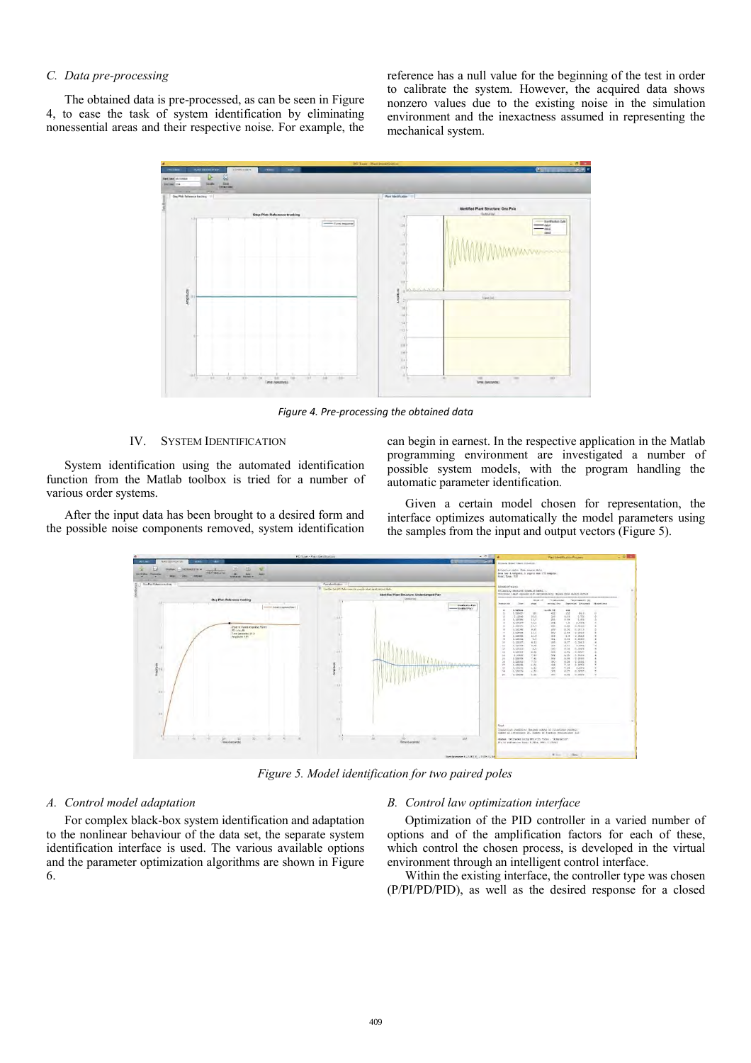## *C. Data pre-processing*

The obtained data is pre-processed, as can be seen in Figure 4, to ease the task of system identification by eliminating nonessential areas and their respective noise. For example, the

reference has a null value for the beginning of the test in order to calibrate the system. However, the acquired data shows nonzero values due to the existing noise in the simulation environment and the inexactness assumed in representing the mechanical system.



*Figure 4. Pre-processing the obtained data* 

## IV. SYSTEM IDENTIFICATION

System identification using the automated identification function from the Matlab toolbox is tried for a number of various order systems.

After the input data has been brought to a desired form and the possible noise components removed, system identification can begin in earnest. In the respective application in the Matlab programming environment are investigated a number of possible system models, with the program handling the automatic parameter identification.

Given a certain model chosen for representation, the interface optimizes automatically the model parameters using the samples from the input and output vectors (Figure 5).



*Figure 5. Model identification for two paired poles*

## *A. Control model adaptation*

For complex black-box system identification and adaptation to the nonlinear behaviour of the data set, the separate system identification interface is used. The various available options and the parameter optimization algorithms are shown in Figure 6.

## *B. Control law optimization interface*

Optimization of the PID controller in a varied number of options and of the amplification factors for each of these, which control the chosen process, is developed in the virtual environment through an intelligent control interface.

Within the existing interface, the controller type was chosen (P/PI/PD/PID), as well as the desired response for a closed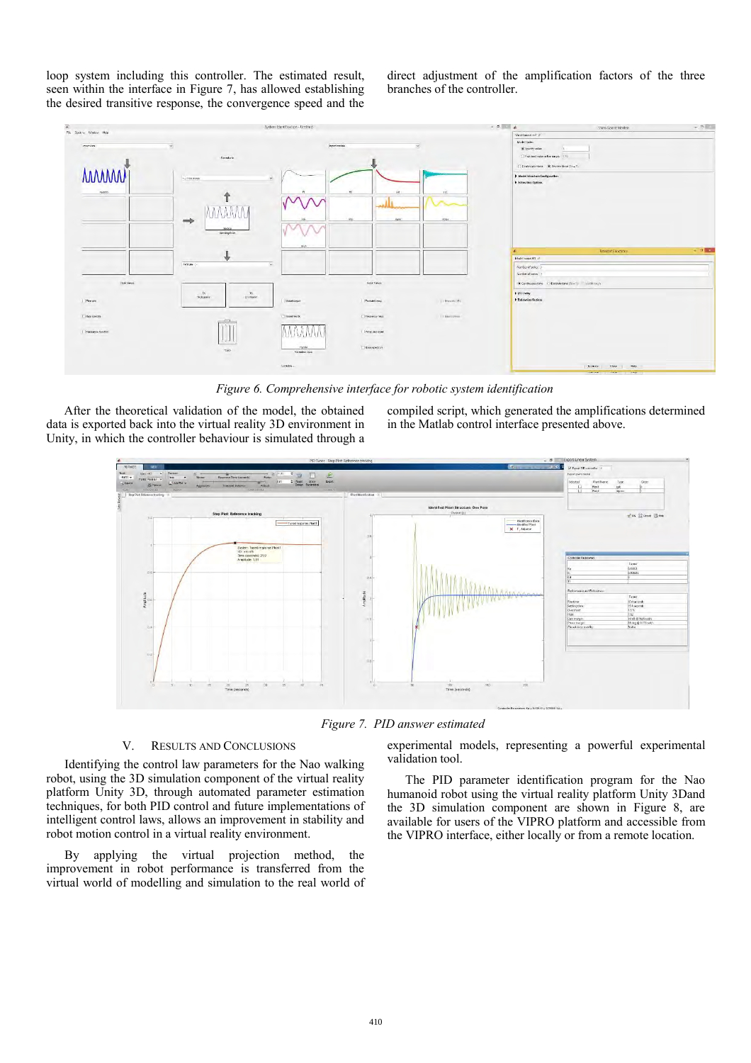loop system including this controller. The estimated result, seen within the interface in Figure 7, has allowed establishing the desired transitive response, the convergence speed and the direct adjustment of the amplification factors of the three branches of the controller.



*Figure 6. Comprehensive interface for robotic system identification*

After the theoretical validation of the model, the obtained data is exported back into the virtual reality 3D environment in Unity, in which the controller behaviour is simulated through a compiled script, which generated the amplifications determined in the Matlab control interface presented above.



*Figure 7. PID answer estimated* 

## V. RESULTS AND CONCLUSIONS

Identifying the control law parameters for the Nao walking robot, using the 3D simulation component of the virtual reality platform Unity 3D, through automated parameter estimation techniques, for both PID control and future implementations of intelligent control laws, allows an improvement in stability and robot motion control in a virtual reality environment.

By applying the virtual projection method, the improvement in robot performance is transferred from the virtual world of modelling and simulation to the real world of experimental models, representing a powerful experimental validation tool.

The PID parameter identification program for the Nao humanoid robot using the virtual reality platform Unity 3Dand the 3D simulation component are shown in Figure 8, are available for users of the VIPRO platform and accessible from the VIPRO interface, either locally or from a remote location.